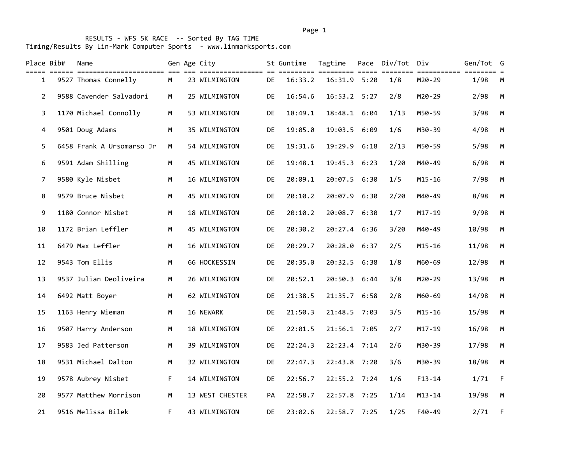| Place Bib#     | Name                      |    | Gen Age City<br>============== |    | St Guntime<br>========= ===== | Tagtime<br>==== | $=$ $=$ $=$ $=$ | Pace Div/Tot<br>eeeeeee | Div                     | Gen/Tot G |              |
|----------------|---------------------------|----|--------------------------------|----|-------------------------------|-----------------|-----------------|-------------------------|-------------------------|-----------|--------------|
| 1              | 9527 Thomas Connelly      | M  | 23 WILMINGTON                  | DE | 16:33.2                       | 16:31.9 5:20    |                 | 1/8                     | =========== =<br>M20-29 | 1/98      | М            |
| $\overline{2}$ | 9588 Cavender Salvadori   | M  | 25 WILMINGTON                  | DE | 16:54.6                       | 16:53.2 5:27    |                 | 2/8                     | M20-29                  | 2/98      | M            |
| 3              | 1170 Michael Connolly     | M  | 53 WILMINGTON                  | DE | 18:49.1                       | 18:48.1 6:04    |                 | 1/13                    | M50-59                  | 3/98      | M            |
| 4              | 9501 Doug Adams           | M  | 35 WILMINGTON                  | DE | 19:05.0                       | 19:03.5         | 6:09            | 1/6                     | M30-39                  | 4/98      | M            |
| 5              | 6458 Frank A Ursomarso Jr | M  | 54 WILMINGTON                  | DE | 19:31.6                       | 19:29.9         | 6:18            | 2/13                    | M50-59                  | 5/98      | ${\sf M}$    |
| 6              | 9591 Adam Shilling        | M  | 45 WILMINGTON                  | DE | 19:48.1                       | 19:45.3 6:23    |                 | 1/20                    | M40-49                  | 6/98      | M            |
| $\overline{7}$ | 9580 Kyle Nisbet          | М  | 16 WILMINGTON                  | DE | 20:09.1                       | 20:07.5 6:30    |                 | 1/5                     | $M15 - 16$              | 7/98      | M            |
| 8              | 9579 Bruce Nisbet         | M  | 45 WILMINGTON                  | DE | 20:10.2                       | 20:07.9         | 6:30            | 2/20                    | M40-49                  | 8/98      | M            |
| 9              | 1180 Connor Nisbet        | M  | 18 WILMINGTON                  | DE | 20:10.2                       | 20:08.7 6:30    |                 | 1/7                     | $M17 - 19$              | 9/98      | M            |
| 10             | 1172 Brian Leffler        | M  | 45 WILMINGTON                  | DE | 20:30.2                       | 20:27.4 6:36    |                 | 3/20                    | M40-49                  | 10/98     | M            |
| 11             | 6479 Max Leffler          | M  | 16 WILMINGTON                  | DE | 20:29.7                       | 20:28.0         | 6:37            | 2/5                     | $M15 - 16$              | 11/98     | M            |
| 12             | 9543 Tom Ellis            | M  | 66 HOCKESSIN                   | DE | 20:35.0                       | 20:32.5 6:38    |                 | 1/8                     | M60-69                  | 12/98     | M            |
| 13             | 9537 Julian Deoliveira    | M  | 26 WILMINGTON                  | DE | 20:52.1                       | 20:50.3         | 6:44            | 3/8                     | M20-29                  | 13/98     | ${\sf M}$    |
| 14             | 6492 Matt Boyer           | M  | 62 WILMINGTON                  | DE | 21:38.5                       | 21:35.7 6:58    |                 | 2/8                     | M60-69                  | 14/98     | M            |
| 15             | 1163 Henry Wieman         | M  | 16 NEWARK                      | DE | 21:50.3                       | 21:48.5 7:03    |                 | 3/5                     | $M15 - 16$              | 15/98     | M            |
| 16             | 9507 Harry Anderson       | M  | 18 WILMINGTON                  | DE | 22:01.5                       | 21:56.1 7:05    |                 | 2/7                     | M17-19                  | 16/98     | M            |
| 17             | 9583 Jed Patterson        | M  | 39 WILMINGTON                  | DE | 22:24.3                       | 22:23.4 7:14    |                 | 2/6                     | M30-39                  | 17/98     | ${\sf M}$    |
| 18             | 9531 Michael Dalton       | M  | 32 WILMINGTON                  | DE | 22:47.3                       | 22:43.8 7:20    |                 | 3/6                     | M30-39                  | 18/98     | M            |
| 19             | 9578 Aubrey Nisbet        | F. | 14 WILMINGTON                  | DE | 22:56.7                       | 22:55.2 7:24    |                 | 1/6                     | $F13 - 14$              | 1/71      | $\mathsf{F}$ |
| 20             | 9577 Matthew Morrison     | M  | 13 WEST CHESTER                | PA | 22:58.7                       | 22:57.8 7:25    |                 | 1/14                    | $M13 - 14$              | 19/98     | ${\sf M}$    |
| 21             | 9516 Melissa Bilek        | F  | 43 WILMINGTON                  | DE | 23:02.6                       | 22:58.7 7:25    |                 | 1/25                    | F40-49                  | 2/71      | F            |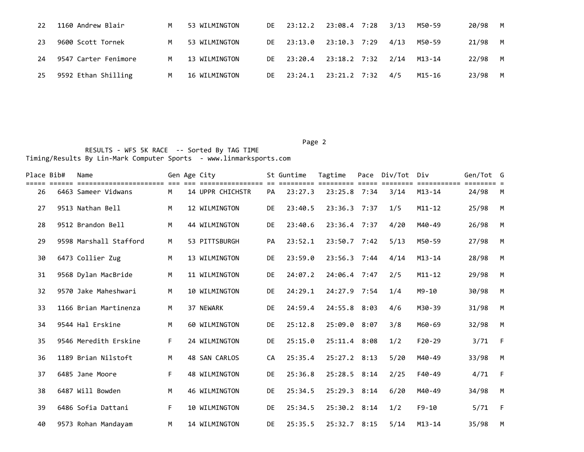| 22 | 1160 Andrew Blair    | M | 53 WILMINGTON | DE 23:12.2 23:08.4 7:28 3/13        |  |      | M50-59 | 20/98 M |          |
|----|----------------------|---|---------------|-------------------------------------|--|------|--------|---------|----------|
| 23 | 9600 Scott Tornek    | M | 53 WILMINGTON | DE 23:13.0 23:10.3 7:29             |  | 4/13 | M50-59 | 21/98 M |          |
| 24 | 9547 Carter Fenimore | M | 13 WILMINGTON | DE 23:20.4 23:18.2 7:32 2/14 M13-14 |  |      |        | 22/98 M |          |
| 25 | 9592 Ethan Shilling  | M | 16 WILMINGTON | DE 23:24.1 23:21.2 7:32             |  | 4/5  | M15-16 | 23/98   | <b>M</b> |

Page 2 (2012) 2014 12:30:40 (2012) 2014 12:30:40 (2012) 2014 12:30:40 (2012) 2014 12:30:40 (2012) 2014 12:30:40

| Place Bib# | Name                   |    | Gen Age City     |           | St Guntime           | Tagtime      | Pace Div/Tot | Div                       | Gen/Tot G |              |
|------------|------------------------|----|------------------|-----------|----------------------|--------------|--------------|---------------------------|-----------|--------------|
| 26         | 6463 Sameer Vidwans    | M  | 14 UPPR CHICHSTR | PA        | ====== ==<br>23:27.3 | 23:25.8 7:34 | 3/14         | ===========<br>$M13 - 14$ | 24/98     | M            |
| 27         | 9513 Nathan Bell       | M  | 12 WILMINGTON    | <b>DE</b> | 23:40.5              | 23:36.3 7:37 | 1/5          | $M11 - 12$                | 25/98     | M            |
| 28         | 9512 Brandon Bell      | M  | 44 WILMINGTON    | <b>DE</b> | 23:40.6              | 23:36.4 7:37 | 4/20         | M40-49                    | 26/98     | M            |
| 29         | 9598 Marshall Stafford | M  | 53 PITTSBURGH    | PA        | 23:52.1              | 23:50.7 7:42 | 5/13         | M50-59                    | 27/98     | M            |
| 30         | 6473 Collier Zug       | M  | 13 WILMINGTON    | <b>DE</b> | 23:59.0              | 23:56.3 7:44 | 4/14         | $M13 - 14$                | 28/98     | M            |
| 31         | 9568 Dylan MacBride    | M  | 11 WILMINGTON    | <b>DE</b> | 24:07.2              | 24:06.4 7:47 | 2/5          | $M11 - 12$                | 29/98     | M            |
| 32         | 9570 Jake Maheshwari   | M  | 10 WILMINGTON    | <b>DE</b> | 24:29.1              | 24:27.9 7:54 | 1/4          | M9-10                     | 30/98     | M            |
| 33         | 1166 Brian Martinenza  | M  | 37 NEWARK        | <b>DE</b> | 24:59.4              | 24:55.8 8:03 | 4/6          | M30-39                    | 31/98     | M            |
| 34         | 9544 Hal Erskine       | M  | 60 WILMINGTON    | <b>DE</b> | 25:12.8              | 25:09.0 8:07 | 3/8          | M60-69                    | 32/98     | M            |
| 35         | 9546 Meredith Erskine  | F. | 24 WILMINGTON    | <b>DE</b> | 25:15.0              | 25:11.4 8:08 | 1/2          | F20-29                    | 3/71      | $\mathsf{F}$ |
| 36         | 1189 Brian Nilstoft    | M  | 48 SAN CARLOS    | CA        | 25:35.4              | 25:27.2 8:13 | 5/20         | M40-49                    | 33/98     | M            |
| 37         | 6485 Jane Moore        | F  | 48 WILMINGTON    | <b>DE</b> | 25:36.8              | 25:28.5 8:14 | 2/25         | F40-49                    | 4/71      | $\mathsf{F}$ |
| 38         | 6487 Will Bowden       | M  | 46 WILMINGTON    | <b>DE</b> | 25:34.5              | 25:29.3 8:14 | 6/20         | M40-49                    | 34/98     | M            |
| 39         | 6486 Sofia Dattani     | F  | 10 WILMINGTON    | <b>DE</b> | 25:34.5              | 25:30.2 8:14 | 1/2          | $F9 - 10$                 | 5/71      | -F           |
| 40         | 9573 Rohan Mandayam    | M  | 14 WILMINGTON    | <b>DE</b> | 25:35.5              | 25:32.7 8:15 | 5/14         | $M13 - 14$                | 35/98     | M            |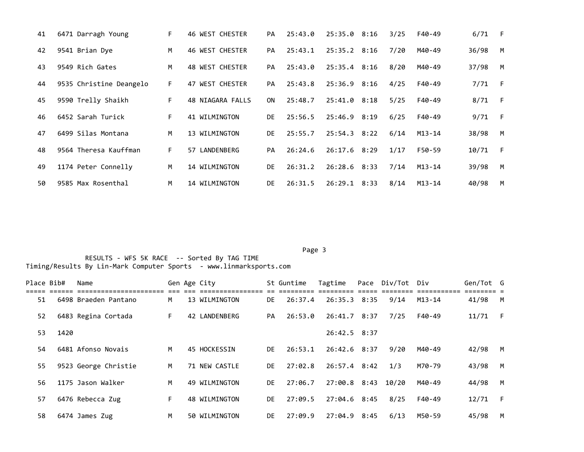| 41 | 6471 Darragh Young      | F. | 46 WEST CHESTER           | <b>PA</b> | 25:43.0 | 25:35.0        | 8:16 | 3/25 | F40-49     | 6/71  | - F |
|----|-------------------------|----|---------------------------|-----------|---------|----------------|------|------|------------|-------|-----|
| 42 | 9541 Brian Dye          | M  | 46 WEST CHESTER           | <b>PA</b> | 25:43.1 | $25:35.2$ 8:16 |      | 7/20 | M40-49     | 36/98 | M   |
| 43 | 9549 Rich Gates         | M  | 48 WEST CHESTER           | PA        | 25:43.0 | 25:35.4 8:16   |      | 8/20 | M40-49     | 37/98 | M   |
| 44 | 9535 Christine Deangelo | F. | <b>WEST CHESTER</b><br>47 | PA        | 25:43.8 | 25:36.9 8:16   |      | 4/25 | F40-49     | 7/71  | - F |
| 45 | 9590 Trelly Shaikh      | F. | 48 NIAGARA FALLS          | ON        | 25:48.7 | 25:41.0 8:18   |      | 5/25 | F40-49     | 8/71  | - F |
| 46 | 6452 Sarah Turick       | F. | 41 WILMINGTON             | <b>DE</b> | 25:56.5 | 25:46.9 8:19   |      | 6/25 | F40-49     | 9/71  | - F |
| 47 | 6499 Silas Montana      | м  | 13 WILMINGTON             | DE        | 25:55.7 | $25:54.3$ 8:22 |      | 6/14 | $M13 - 14$ | 38/98 | M   |
| 48 | 9564 Theresa Kauffman   | F. | 57 LANDENBERG             | PA        | 26:24.6 | 26:17.6 8:29   |      | 1/17 | F50-59     | 10/71 | - F |
| 49 | 1174 Peter Connelly     | м  | 14 WILMINGTON             | <b>DE</b> | 26:31.2 | $26:28.6$ 8:33 |      | 7/14 | $M13 - 14$ | 39/98 | M   |
| 50 | 9585 Max Rosenthal      | м  | 14 WILMINGTON             | <b>DE</b> | 26:31.5 | $26:29.1$ 8:33 |      | 8/14 | $M13 - 14$ | 40/98 | M   |

Page 3 and 2012 and 2012 and 2012 and 2012 and 2012 and 2012 and 2012 and 2012 and 2012 and 2012 and 2012 and

| Place Bib# |      | Name                 |    | Gen Age City  |           | St Guntime | Tagtime      | Pace Div/Tot Div |            | Gen/Tot G |     |
|------------|------|----------------------|----|---------------|-----------|------------|--------------|------------------|------------|-----------|-----|
| 51         |      | 6498 Braeden Pantano | M  | 13 WILMINGTON | <b>DE</b> | 26:37.4    | 26:35.3 8:35 | 9/14             | $M13 - 14$ | 41/98     | M   |
| 52         |      | 6483 Regina Cortada  | F. | 42 LANDENBERG | <b>PA</b> | 26:53.0    | 26:41.7 8:37 | 7/25             | F40-49     | 11/71     | - F |
| 53         | 1420 |                      |    |               |           |            | 26:42.5 8:37 |                  |            |           |     |
| 54         |      | 6481 Afonso Novais   | м  | 45 HOCKESSIN  | <b>DE</b> | 26:53.1    | 26:42.6 8:37 | 9/20             | M40-49     | 42/98     | M   |
| 55         |      | 9523 George Christie | M  | 71 NEW CASTLE | <b>DE</b> | 27:02.8    | 26:57.4 8:42 | 1/3              | M70-79     | 43/98     | M   |
| 56         |      | 1175 Jason Walker    | м  | 49 WILMINGTON | <b>DE</b> | 27:06.7    | 27:00.8 8:43 | 10/20            | M40-49     | 44/98     | M   |
| 57         |      | 6476 Rebecca Zug     | F. | 48 WILMINGTON | DE        | 27:09.5    | 27:04.6 8:45 | 8/25             | F40-49     | 12/71     | - F |
| 58         |      | 6474 James Zug       | M  | 50 WILMINGTON | <b>DE</b> | 27:09.9    | 27:04.9 8:45 | 6/13             | M50-59     | 45/98     | M   |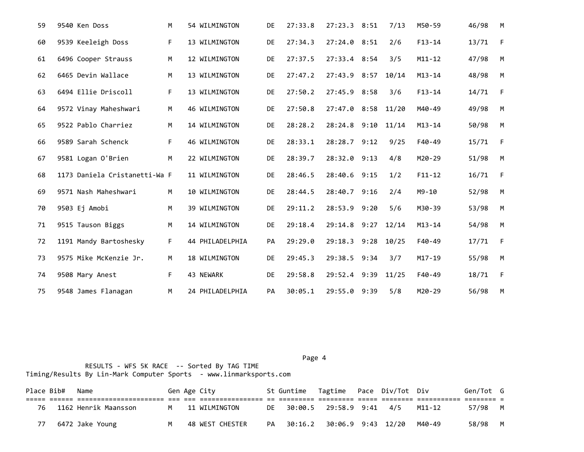| 59 | 9540 Ken Doss                 | М  | 54 WILMINGTON   | DE        | 27:33.8 | 27:23.3 8:51       |      | 7/13  | M50-59     | 46/98 | M            |
|----|-------------------------------|----|-----------------|-----------|---------|--------------------|------|-------|------------|-------|--------------|
| 60 | 9539 Keeleigh Doss            | F  | 13 WILMINGTON   | <b>DE</b> | 27:34.3 | 27:24.0 8:51       |      | 2/6   | $F13 - 14$ | 13/71 | $\mathsf{F}$ |
| 61 | 6496 Cooper Strauss           | M  | 12 WILMINGTON   | <b>DE</b> | 27:37.5 | 27:33.4 8:54       |      | 3/5   | $M11 - 12$ | 47/98 | M            |
| 62 | 6465 Devin Wallace            | М  | 13 WILMINGTON   | <b>DE</b> | 27:47.2 | 27:43.9 8:57       |      | 10/14 | $M13 - 14$ | 48/98 | M            |
| 63 | 6494 Ellie Driscoll           | F. | 13 WILMINGTON   | <b>DE</b> | 27:50.2 | 27:45.9 8:58       |      | 3/6   | $F13 - 14$ | 14/71 | F            |
| 64 | 9572 Vinay Maheshwari         | M  | 46 WILMINGTON   | DE        | 27:50.8 | 27:47.0 8:58 11/20 |      |       | M40-49     | 49/98 | M            |
| 65 | 9522 Pablo Charriez           | M  | 14 WILMINGTON   | <b>DE</b> | 28:28.2 | 28:24.8 9:10       |      | 11/14 | $M13 - 14$ | 50/98 | M            |
| 66 | 9589 Sarah Schenck            | F  | 46 WILMINGTON   | DE        | 28:33.1 | 28:28.7 9:12       |      | 9/25  | F40-49     | 15/71 | $\mathsf{F}$ |
| 67 | 9581 Logan O'Brien            | M  | 22 WILMINGTON   | <b>DE</b> | 28:39.7 | 28:32.0 9:13       |      | 4/8   | M20-29     | 51/98 | M            |
| 68 | 1173 Daniela Cristanetti-Wa F |    | 11 WILMINGTON   | DE        | 28:46.5 | 28:40.6 9:15       |      | 1/2   | $F11 - 12$ | 16/71 | $\mathsf{F}$ |
| 69 | 9571 Nash Maheshwari          | M  | 10 WILMINGTON   | <b>DE</b> | 28:44.5 | 28:40.7            | 9:16 | 2/4   | M9-10      | 52/98 | M            |
| 70 | 9503 Ej Amobi                 | M  | 39 WILMINGTON   | DE        | 29:11.2 | 28:53.9 9:20       |      | 5/6   | M30-39     | 53/98 | M            |
| 71 | 9515 Tauson Biggs             | M  | 14 WILMINGTON   | <b>DE</b> | 29:18.4 | 29:14.8 9:27       |      | 12/14 | $M13 - 14$ | 54/98 | M            |
| 72 | 1191 Mandy Bartoshesky        | F. | 44 PHILADELPHIA | PA        | 29:29.0 | 29:18.3 9:28       |      | 10/25 | F40-49     | 17/71 | $\mathsf{F}$ |
| 73 | 9575 Mike McKenzie Jr.        | M  | 18 WILMINGTON   | <b>DE</b> | 29:45.3 | 29:38.5 9:34       |      | 3/7   | $M17 - 19$ | 55/98 | M            |
| 74 | 9508 Mary Anest               | F  | 43 NEWARK       | <b>DE</b> | 29:58.8 | 29:52.4 9:39       |      | 11/25 | F40-49     | 18/71 | F            |
| 75 | 9548 James Flanagan           | M  | 24 PHILADELPHIA | PA        | 30:05.1 | 29:55.0 9:39       |      | 5/8   | M20-29     | 56/98 | M            |

Page 4 and the state of the state of the state of the state of the state of the state of the state of the state of the state of the state of the state of the state of the state of the state of the state of the state of the RESULTS - WFS 5K RACE -- Sorted By TAG TIME Timing/Results By Lin-Mark Computer Sports - www.linmarksports.com

| Place Bib# | Name                 |          | Gen Age City    |    | St Guntime Tagtime Pace Div/Tot Div |                    |     |        | Gen/Tot G |  |
|------------|----------------------|----------|-----------------|----|-------------------------------------|--------------------|-----|--------|-----------|--|
|            |                      |          |                 |    |                                     |                    |     |        |           |  |
|            | 1162 Henrik Maansson | <b>M</b> | 11 WILMINGTON   |    | DE 30:00.5 29:58.9 9:41             |                    | 4/5 | M11-12 | 57/98 M   |  |
|            | 6472 Jake Young      | М        | 48 WEST CHESTER | PA | 30:16.2                             | 30:06.9 9:43 12/20 |     | M40-49 | 58/98 M   |  |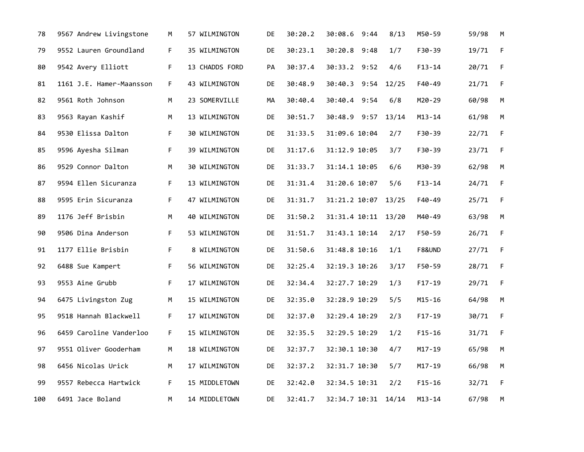| 78  | 9567 Andrew Livingstone  | М  | 57 WILMINGTON  | DE  | 30:20.2 | 30:08.6 9:44        | 8/13  | M50-59     | 59/98 | M           |
|-----|--------------------------|----|----------------|-----|---------|---------------------|-------|------------|-------|-------------|
| 79  | 9552 Lauren Groundland   | F  | 35 WILMINGTON  | DE  | 30:23.1 | 30:20.8 9:48        | 1/7   | F30-39     | 19/71 | $\mathsf F$ |
| 80  | 9542 Avery Elliott       | F. | 13 CHADDS FORD | PA  | 30:37.4 | 30:33.2 9:52        | 4/6   | $F13 - 14$ | 20/71 | $\mathsf F$ |
| 81  | 1161 J.E. Hamer-Maansson | F. | 43 WILMINGTON  | DE  | 30:48.9 | 30:40.3 9:54        | 12/25 | F40-49     | 21/71 | $\mathsf F$ |
| 82  | 9561 Roth Johnson        | M  | 23 SOMERVILLE  | МA  | 30:40.4 | 30:40.4 9:54        | 6/8   | M20-29     | 60/98 | М           |
| 83  | 9563 Rayan Kashif        | M  | 13 WILMINGTON  | DE  | 30:51.7 | 30:48.9 9:57        | 13/14 | $M13 - 14$ | 61/98 | M           |
| 84  | 9530 Elissa Dalton       | F. | 30 WILMINGTON  | DE  | 31:33.5 | 31:09.6 10:04       | 2/7   | F30-39     | 22/71 | $\mathsf F$ |
| 85  | 9596 Ayesha Silman       | F. | 39 WILMINGTON  | DE  | 31:17.6 | 31:12.9 10:05       | 3/7   | F30-39     | 23/71 | $\mathsf F$ |
| 86  | 9529 Connor Dalton       | M  | 30 WILMINGTON  | DE  | 31:33.7 | 31:14.1 10:05       | 6/6   | M30-39     | 62/98 | M           |
| 87  | 9594 Ellen Sicuranza     | F. | 13 WILMINGTON  | DE  | 31:31.4 | 31:20.6 10:07       | 5/6   | $F13 - 14$ | 24/71 | $\mathsf F$ |
| 88  | 9595 Erin Sicuranza      | F. | 47 WILMINGTON  | DE  | 31:31.7 | 31:21.2 10:07       | 13/25 | F40-49     | 25/71 | F           |
| 89  | 1176 Jeff Brisbin        | M  | 40 WILMINGTON  | DE  | 31:50.2 | 31:31.4 10:11 13/20 |       | M40-49     | 63/98 | M           |
| 90  | 9506 Dina Anderson       | F. | 53 WILMINGTON  | DE  | 31:51.7 | 31:43.1 10:14       | 2/17  | F50-59     | 26/71 | $\mathsf F$ |
| 91  | 1177 Ellie Brisbin       | F. | 8 WILMINGTON   | DE  | 31:50.6 | 31:48.8 10:16       | 1/1   | F8&UND     | 27/71 | $\mathsf F$ |
| 92  | 6488 Sue Kampert         | F. | 56 WILMINGTON  | DE  | 32:25.4 | 32:19.3 10:26       | 3/17  | F50-59     | 28/71 | $\mathsf F$ |
| 93  | 9553 Aine Grubb          | F. | 17 WILMINGTON  | DE  | 32:34.4 | 32:27.7 10:29       | 1/3   | $F17-19$   | 29/71 | F           |
| 94  | 6475 Livingston Zug      | M  | 15 WILMINGTON  | DE  | 32:35.0 | 32:28.9 10:29       | 5/5   | $M15 - 16$ | 64/98 | M           |
| 95  | 9518 Hannah Blackwell    | F. | 17 WILMINGTON  | DE  | 32:37.0 | 32:29.4 10:29       | 2/3   | $F17-19$   | 30/71 | $\mathsf F$ |
| 96  | 6459 Caroline Vanderloo  | F. | 15 WILMINGTON  | DE  | 32:35.5 | 32:29.5 10:29       | 1/2   | $F15-16$   | 31/71 | F           |
| 97  | 9551 Oliver Gooderham    | M  | 18 WILMINGTON  | DE  | 32:37.7 | 32:30.1 10:30       | 4/7   | $M17 - 19$ | 65/98 | M           |
| 98  | 6456 Nicolas Urick       | M  | 17 WILMINGTON  | DE  | 32:37.2 | 32:31.7 10:30       | 5/7   | $M17 - 19$ | 66/98 | M           |
| 99  | 9557 Rebecca Hartwick    | F. | 15 MIDDLETOWN  | DE  | 32:42.0 | 32:34.5 10:31       | 2/2   | $F15-16$   | 32/71 | F           |
| 100 | 6491 Jace Boland         | M  | 14 MIDDLETOWN  | DE. | 32:41.7 | 32:34.7 10:31 14/14 |       | $M13 - 14$ | 67/98 | М           |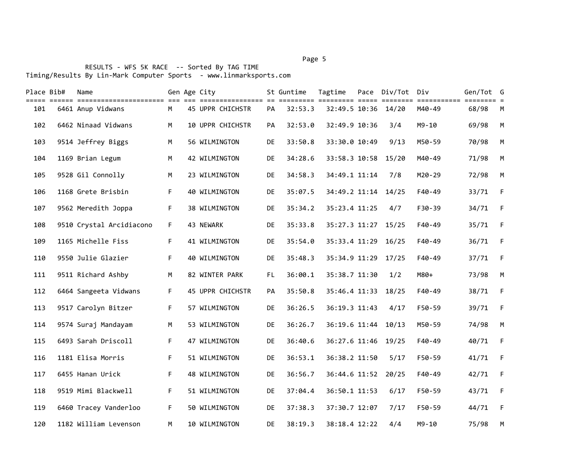# RESULTS - WFS 5K RACE -- Sorted By TAG TIME

Timing/Results By Lin-Mark Computer Sports - www.linmarksports.com

| Place Bib# | Name                     |    | Gen Age City     |           | St Guntime | Tagtime             | Pace Div/Tot Div |        | Gen/Tot G |              |
|------------|--------------------------|----|------------------|-----------|------------|---------------------|------------------|--------|-----------|--------------|
| 101        | 6461 Anup Vidwans        | M  | 45 UPPR CHICHSTR | PA        | 32:53.3    | 32:49.5 10:36 14/20 |                  | M40-49 | 68/98     | M            |
| 102        | 6462 Ninaad Vidwans      | M  | 10 UPPR CHICHSTR | PA        | 32:53.0    | 32:49.9 10:36       | 3/4              | M9-10  | 69/98     | M            |
| 103        | 9514 Jeffrey Biggs       | M  | 56 WILMINGTON    | DE        | 33:50.8    | 33:30.0 10:49       | 9/13             | M50-59 | 70/98     | M            |
| 104        | 1169 Brian Legum         | M  | 42 WILMINGTON    | DE        | 34:28.6    | 33:58.3 10:58 15/20 |                  | M40-49 | 71/98     | M            |
| 105        | 9528 Gil Connolly        | M  | 23 WILMINGTON    | DE        | 34:58.3    | 34:49.1 11:14       | 7/8              | M20-29 | 72/98     | M            |
| 106        | 1168 Grete Brisbin       | F  | 40 WILMINGTON    | DE        | 35:07.5    | 34:49.2 11:14 14/25 |                  | F40-49 | 33/71     | $\mathsf{F}$ |
| 107        | 9562 Meredith Joppa      | F. | 38 WILMINGTON    | DE        | 35:34.2    | 35:23.4 11:25       | 4/7              | F30-39 | 34/71     | F            |
| 108        | 9510 Crystal Arcidiacono | F. | 43 NEWARK        | DE        | 35:33.8    | 35:27.3 11:27       | 15/25            | F40-49 | 35/71     | F            |
| 109        | 1165 Michelle Fiss       | F  | 41 WILMINGTON    | DE        | 35:54.0    | 35:33.4 11:29       | 16/25            | F40-49 | 36/71     | $\mathsf{F}$ |
| 110        | 9550 Julie Glazier       | F  | 40 WILMINGTON    | DE        | 35:48.3    | 35:34.9 11:29 17/25 |                  | F40-49 | 37/71     | $\mathsf F$  |
| 111        | 9511 Richard Ashby       | M  | 82 WINTER PARK   | FL.       | 36:00.1    | 35:38.7 11:30       | 1/2              | $M80+$ | 73/98     | M            |
| 112        | 6464 Sangeeta Vidwans    | F. | 45 UPPR CHICHSTR | PA        | 35:50.8    | 35:46.4 11:33       | 18/25            | F40-49 | 38/71     | $\mathsf{F}$ |
| 113        | 9517 Carolyn Bitzer      | F. | 57 WILMINGTON    | <b>DE</b> | 36:26.5    | 36:19.3 11:43       | 4/17             | F50-59 | 39/71     | F            |
| 114        | 9574 Suraj Mandayam      | M  | 53 WILMINGTON    | DE        | 36:26.7    | 36:19.6 11:44 10/13 |                  | M50-59 | 74/98     | M            |
| 115        | 6493 Sarah Driscoll      | F  | 47 WILMINGTON    | DE        | 36:40.6    | 36:27.6 11:46 19/25 |                  | F40-49 | 40/71     | F            |
| 116        | 1181 Elisa Morris        | F. | 51 WILMINGTON    | DE        | 36:53.1    | 36:38.2 11:50       | 5/17             | F50-59 | 41/71     | $\mathsf{F}$ |
| 117        | 6455 Hanan Urick         | F  | 48 WILMINGTON    | DE        | 36:56.7    | 36:44.6 11:52       | 20/25            | F40-49 | 42/71     | $\mathsf{F}$ |
| 118        | 9519 Mimi Blackwell      | F  | 51 WILMINGTON    | DE        | 37:04.4    | 36:50.1 11:53       | 6/17             | F50-59 | 43/71     | $\mathsf F$  |
| 119        | 6460 Tracey Vanderloo    | F. | 50 WILMINGTON    | <b>DE</b> | 37:38.3    | 37:30.7 12:07       | 7/17             | F50-59 | 44/71     | F            |
| 120        | 1182 William Levenson    | M  | 10 WILMINGTON    | DE        | 38:19.3    | 38:18.4 12:22       | 4/4              | M9-10  | 75/98     | М            |

#### Page 5 and 2012 and 2012 and 2012 and 2012 and 2012 and 2012 and 2012 and 2012 and 2012 and 2012 and 2012 and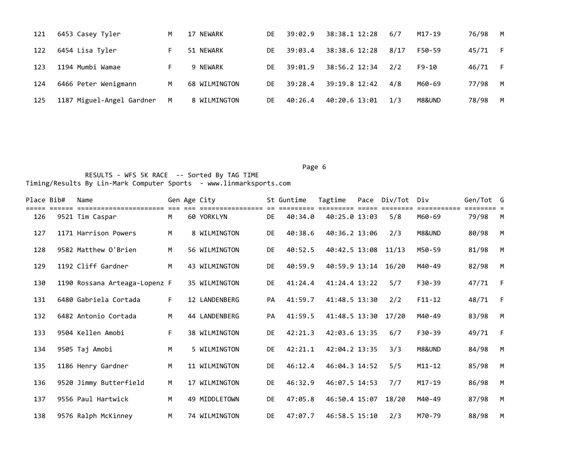| 121 | 6453 Casey Tyler          | M  | 17 NEWARK     | DE  | 39:02.9 | 38:38.1 12:28 | 6/7  | M17-19  | 76/98 | M   |
|-----|---------------------------|----|---------------|-----|---------|---------------|------|---------|-------|-----|
| 122 | 6454 Lisa Tyler           |    | 51 NEWARK     | DF  | 39:03.4 | 38:38.6 12:28 | 8/17 | F50-59  | 45/71 | - F |
| 123 | 1194 Mumbi Wamae          | F. | 9 NEWARK      | DF. | 39:01.9 | 38:56.2 12:34 | 2/2  | $F9-10$ | 46/71 | - F |
| 124 | 6466 Peter Wenigmann      | М  | 68 WILMINGTON | DF  | 39:28.4 | 39:19.8 12:42 | 4/8  | M60-69  | 77/98 | M   |
| 125 | 1187 Miguel-Angel Gardner | M  | 8 WILMINGTON  | DE  | 40:26.4 | 40:20.6 13:01 | 1/3  | M8&UND  | 78/98 | M   |

## Page 6 and the contract of the contract of the contract of the contract of the contract of the contract of the RESULTS - WFS 5K RACE -- Sorted By TAG TIME Timing/Results By Lin-Mark Computer Sports - www.linmarksports.com

| Place Bib# | Name                                 |    | Gen Age City  |           | St Guntime | Tagtime       | Pace Div/Tot Div |                  | Gen/Tot G |              |
|------------|--------------------------------------|----|---------------|-----------|------------|---------------|------------------|------------------|-----------|--------------|
| 126        | =================<br>9521 Tim Caspar | M  | 60 YORKLYN    | DE.       | 40:34.0    | 40:25.0 13:03 | 5/8              | ======<br>M60-69 | 79/98     | M            |
| 127        | 1171 Harrison Powers                 | M  | 8 WILMINGTON  | <b>DE</b> | 40:38.6    | 40:36.2 13:06 | 2/3              | M8&UND           | 80/98     | M            |
| 128        | 9582 Matthew O'Brien                 | M  | 56 WILMINGTON | <b>DE</b> | 40:52.5    | 40:42.5 13:08 | 11/13            | M50-59           | 81/98     | M            |
| 129        | 1192 Cliff Gardner                   | M  | 43 WILMINGTON | <b>DE</b> | 40:59.9    | 40:59.9 13:14 | 16/20            | M40-49           | 82/98     | M            |
| 130        | 1190 Rossana Arteaga-Lopenz F        |    | 35 WILMINGTON | <b>DE</b> | 41:24.4    | 41:24.4 13:22 | 5/7              | F30-39           | 47/71     | $\mathsf{F}$ |
| 131        | 6480 Gabriela Cortada                | F. | 12 LANDENBERG | <b>PA</b> | 41:59.7    | 41:48.5 13:30 | 2/2              | $F11 - 12$       | 48/71     | $\mathsf{F}$ |
| 132        | 6482 Antonio Cortada                 | M  | 44 LANDENBERG | <b>PA</b> | 41:59.5    | 41:48.5 13:30 | 17/20            | M40-49           | 83/98     | M            |
| 133        | 9504 Kellen Amobi                    | F  | 38 WILMINGTON | <b>DE</b> | 42:21.3    | 42:03.6 13:35 | 6/7              | F30-39           | 49/71     | $\mathsf{F}$ |
| 134        | 9505 Taj Amobi                       | M  | 5 WILMINGTON  | <b>DE</b> | 42:21.1    | 42:04.2 13:35 | 3/3              | M8&UND           | 84/98     | M            |
| 135        | 1186 Henry Gardner                   | M  | 11 WILMINGTON | <b>DE</b> | 46:12.4    | 46:04.3 14:52 | 5/5              | M11-12           | 85/98     | M            |
| 136        | 9520 Jimmy Butterfield               | M  | 17 WILMINGTON | <b>DE</b> | 46:32.9    | 46:07.5 14:53 | 7/7              | $M17 - 19$       | 86/98     | M            |
| 137        | 9556 Paul Hartwick                   | M  | 49 MIDDLETOWN | <b>DE</b> | 47:05.8    | 46:50.4 15:07 | 18/20            | M40-49           | 87/98     | M            |
| 138        | 9576 Ralph McKinney                  | M  | 74 WILMINGTON | DE.       | 47:07.7    | 46:58.5 15:10 | 2/3              | M70-79           | 88/98     | M            |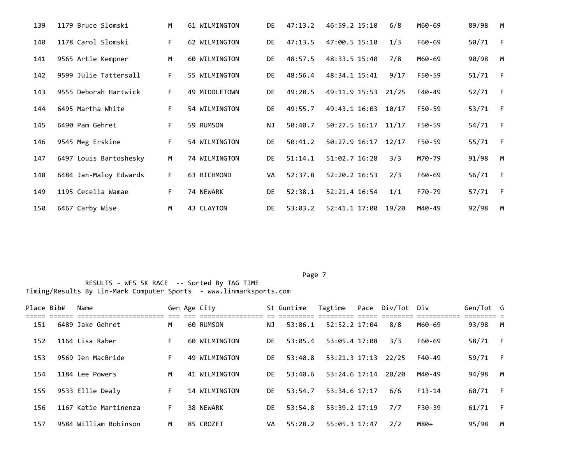| 139 | 1179 Bruce Slomski     | M  | 61 WILMINGTON | <b>DE</b> | 47:13.2 | 46:59.2 15:10       | 6/8   | M60-69 | 89/98 | M   |
|-----|------------------------|----|---------------|-----------|---------|---------------------|-------|--------|-------|-----|
| 140 | 1178 Carol Slomski     | F. | 62 WILMINGTON | <b>DE</b> | 47:13.5 | 47:00.5 15:10       | 1/3   | F60-69 | 50/71 | - F |
| 141 | 9565 Artie Kempner     | M  | 60 WILMINGTON | <b>DE</b> | 48:57.5 | 48:33.5 15:40       | 7/8   | M60-69 | 90/98 | M   |
| 142 | 9599 Julie Tattersall  | F. | 55 WILMINGTON | <b>DE</b> | 48:56.4 | 48:34.1 15:41       | 9/17  | F50-59 | 51/71 | - F |
| 143 | 9555 Deborah Hartwick  | F. | 49 MIDDLETOWN | DE.       | 49:28.5 | 49:11.9 15:53 21/25 |       | F40-49 | 52/71 | - F |
| 144 | 6495 Martha White      | F. | 54 WILMINGTON | <b>DE</b> | 49:55.7 | 49:43.1 16:03       | 10/17 | F50-59 | 53/71 | - F |
| 145 | 6490 Pam Gehret        | F. | 59 RUMSON     | NJ        | 50:40.7 | 50:27.5 16:17       | 11/17 | F50-59 | 54/71 | - F |
| 146 | 9545 Meg Erskine       | F. | 54 WILMINGTON | <b>DE</b> | 50:41.2 | 50:27.9 16:17       | 12/17 | F50-59 | 55/71 | F   |
| 147 | 6497 Louis Bartoshesky | M  | 74 WILMINGTON | <b>DE</b> | 51:14.1 | 51:02.7 16:28       | 3/3   | M70-79 | 91/98 | M   |
| 148 | 6484 Jan-Maloy Edwards | F. | 63 RICHMOND   | <b>VA</b> | 52:37.8 | 52:20.2 16:53       | 2/3   | F60-69 | 56/71 | - F |
| 149 | 1195 Cecelia Wamae     | F. | 74 NEWARK     | <b>DE</b> | 52:38.1 | 52:21.4 16:54       | 1/1   | F70-79 | 57/71 | - F |
| 150 | 6467 Carby Wise        | M  | 43 CLAYTON    | <b>DE</b> | 53:03.2 | 52:41.1 17:00       | 19/20 | M40-49 | 92/98 | M   |

Page 7

| Place Bib# | Name                  |    | Gen Age City  |     | St Guntime | Tagtime       | Pace Div/Tot Div |          | Gen/Tot G |     |
|------------|-----------------------|----|---------------|-----|------------|---------------|------------------|----------|-----------|-----|
| 151        | 6489 Jake Gehret      | м  | 60 RUMSON     | ΝJ  | 53:06.1    | 52:52.2 17:04 | 8/8              | M60-69   | 93/98     | M   |
| 152        | 1164 Lisa Raber       | F. | 60 WILMINGTON | DE  | 53:05.4    | 53:05.4 17:08 | 3/3              | F60-69   | 58/71     | - F |
| 153        | 9569 Jen MacBride     | F. | 49 WILMINGTON | DE  | 53:40.8    | 53:21.3 17:13 | 22/25            | F40-49   | 59/71     | - F |
| 154        | 1184 Lee Powers       | м  | 41 WILMINGTON | DE  | 53:40.6    | 53:24.6 17:14 | 20/20            | M40-49   | 94/98     | M   |
| 155        | 9533 Ellie Dealy      | F. | 14 WILMINGTON | DF. | 53:54.7    | 53:34.6 17:17 | 6/6              | $F13-14$ | 60/71     | - F |
| 156        | 1167 Katie Martinenza | F. | 38 NEWARK     | DE  | 53:54.8    | 53:39.2 17:19 | 7/7              | F30-39   | 61/71     | - F |
| 157        | 9584 William Robinson | M  | 85 CROZET     | VA  | 55:28.2    | 55:05.3 17:47 | 2/2              | M80+     | 95/98     | M   |